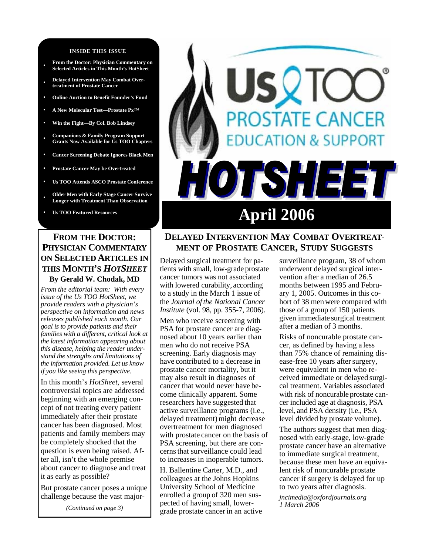#### **INSIDE THIS ISSUE**

- **From the Doctor: Physician Commentary on Selected Articles in This Month's HotSheet**
- **• Delayed Intervention May Combat Overtreatment of Prostate Cancer**
- **• Online Auction to Benefit Founder's Fund**
- **• A New Molecular Test—Prostate Px™**
- **• Win the Fight—By Col. Bob Lindsey**
- **• Companions & Family Program Support Grants Now Available for Us TOO Chapters**
- **• Cancer Screening Debate Ignores Black Men**
- **• Prostate Cancer May be Overtreated**
- **• Us TOO Attends ASCO Prostate Conference**

**• Older Men with Early Stage Cancer Survive Longer with Treatment Than Observation** 

#### **FROM THE DOCTOR: PHYSICIAN COMMENTARY ON SELECTED ARTICLES IN THIS MONTH'S** *HOTSHEET* **By Gerald W. Chodak, MD**

*From the editorial team: With every issue of the Us TOO HotSheet, we provide readers with a physician's perspective on information and news releases published each month. Our goal is to provide patients and their families with a different, critical look at the latest information appearing about this disease, helping the reader understand the strengths and limitations of the information provided. Let us know if you like seeing this perspective.* 

In this month's *HotSheet,* several controversial topics are addressed beginning with an emerging concept of not treating every patient immediately after their prostate cancer has been diagnosed. Most patients and family members may be completely shocked that the question is even being raised. After all, isn't the whole premise about cancer to diagnose and treat it as early as possible?

But prostate cancer poses a unique challenge because the vast major-

*(Continued on page 3)* 

# SQIC *OSTATE CANCER* **DN & SUPPORT** TSHEET 0 Us TOO Featured Resources **April 2006**

## **DELAYED INTERVENTION MAY COMBAT OVERTREAT-MENT OF PROSTATE CANCER, STUDY SUGGESTS**

Delayed surgical treatment for patients with small, low-grade prostate cancer tumors was not associated with lowered curability, according to a study in the March 1 issue of the *Journal of the National Cancer Institute* (vol. 98, pp. 355-7, 2006).

Men who receive screening with PSA for prostate cancer are diagnosed about 10 years earlier than men who do not receive PSA screening. Early diagnosis may have contributed to a decrease in prostate cancer mortality, but it may also result in diagnoses of cancer that would never have become clinically apparent. Some researchers have suggested that active surveillance programs (i.e., delayed treatment) might decrease overtreatment for men diagnosed with prostate cancer on the basis of PSA screening, but there are concernsthat surveillance could lead to increases in inoperable tumors.

H. Ballentine Carter, M.D., and colleagues at the Johns Hopkins University School of Medicine enrolled a group of 320 men suspected of having small, lowergrade prostate cancerin an active

surveillance program, 38 of whom underwent delayed surgical intervention after a median of 26.5 months between 1995 and February 1, 2005. Outcomes in this cohort of 38 men were compared with those of a group of 150 patients given immediate surgical treatment after a median of 3 months.

Risks of noncurable prostate cancer, as defined by having a less than 75% chance of remaining disease-free 10 years after surgery, were equivalent in men who received immediate or delayed surgical treatment. Variables associated with risk of noncurable prostate cancer included age at diagnosis, PSA level, and PSA density (i.e., PSA level divided by prostate volume).

The authors suggest that men diagnosed with early-stage, low-grade prostate cancer have an alternative to immediate surgical treatment, because these men have an equivalent risk of noncurable prostate cancer if surgery is delayed for up to two years after diagnosis.

*jncimedia@oxfordjournals.org 1 March 2006*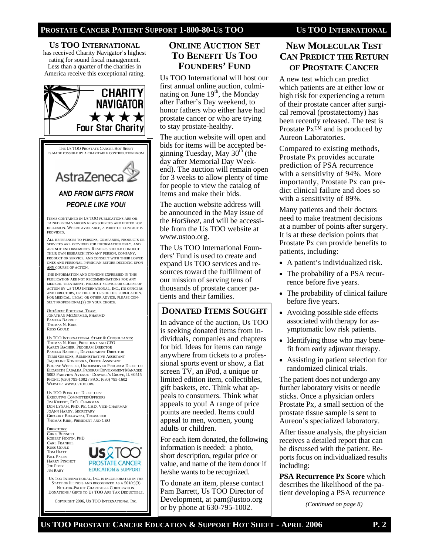#### **PROSTATE CANCER PATIENT SUPPORT 1-800-80-US TOO US TOO INTERNATIONAL**

**US TOO INTERNATIONAL** has received Charity Navigator's highest rating for sound fiscal management. Less than a quarter of the charities in America receive this exceptional rating.



THE US TOO PROSTATE CANCER HOT SHEET IS MADE POSSIBLE BY A CHARITABLE CONTRIBUTION FROM

# AstraZeneca *AND FROM GIFTS FROM PEOPLE LIKE YOU!*

ITEMS CONTAINED IN US TOO PUBLICATIONS ARE OB-TAINED FROM VARIOUS NEWS SOURCES AND EDITED FOR INCLUSION. WHERE AVAILABLE, A POINT-OF-CONTACT IS **PROVIDED.** 

ALL REFERENCES TO PERSONS, COMPANIES, PRODUCTS OR SERVICES ARE PROVIDED FOR INFORMATION ONLY, AND ARE NOT ENDORSEMENTS. READERS SHOULD CONDUCT THEIR OWN RESEARCH INTO ANY PERSON, COMPANY, PRODUCT OR SERVICE, AND CONSULT WITH THEIR LOWED ONES AND PERSONAL PHYSICIAN BEFORE DECIDING UPON **ANY** COURSE OF ACTION.

THE INFORMATION AND OPINIONS EXPRESSED IN THIS PUBLICATION ARE NOT RECOMMENDATIONS FOR ANY MEDICAL TREATMENT, PRODUCT SERVICE OR COURSE OF ACTION BY US TOO INTERNATIONAL, INC., ITS OFFICERS AND DIRECTORS, OR THE EDITORS OF THIS PUBLICATION. FOR MEDICAL, LEGAL OR OTHER ADVICE, PLEASE CON-SULT PROFESSIONAL(S) OF YOUR CHOICE.

*HOTSHEET* EDITORIAL TEAM: JONATHAN MCDERMED, PHARMD PAMELA BARRETT THOMAS N. KIRK RUSS GOULD

US TOO INTERNATIONAL STAFF & CONSULTANTS: THOMAS N. KIRK, PRESIDENT AND CEO KAREN BACHER, PROGRAM DIRECTOR PAMELA BARRETT, DEVELOPMENT DIRECTOR TERRI GIBBONS, ADMINISTRATIVE ASSISTANT JAQUELINE KONIECZKA, OFFICE ASSISTANT EUGENE WHEELER, UNDERSERVED PROGRAM DIRECTOR ELIZABETH CABALKA, PROGRAM DEVELOPMENT MANAGER 5003 FAIRVIEW AVENUE - DOWNER'S GROVE, IL 60515 PHONE: (630) 795-1002 / FAX: (630) 795-1602 WEBSITE: WWW.USTOO.ORG

US TOO BOARD OF DIRECTORS: EXECUTIVE COMMITTEE/OFFICERS JIM KIEFERT, EDD, CHAIRMAN DON LYNAM, PHD, PE, CHD, VICE-CHAIRMAN JOANN HARDY, SECRETARY GREGORY BIELAWSKI, TREASURER THOMAS KIRK, PRESIDENT AND CEO

DIRECTORS: CHRIS BENNETT ROBERT FIDOTN, PHD CARL FRANKEL RUSS GOULD TOM HIATT BILL PALOS HARRY PINCHOT JOE PIPER JIM RABY



US TOO INTERNATIONAL, INC. IS INCORPORATED IN THE STATE OF ILLINOIS AND RECOGNIZED AS A 501(C)(3) NOT-FOR-PROFIT CHARITABLE CORPORATION. DONATIONS / GIFTS TO US TOO ARE TAX DEDUCTIBLE.

COPYRIGHT 2006, US TOO INTERNATIONAL INC.

#### **ONLINE AUCTION SET TO BENEFIT US TOO FOUNDERS' FUND**

Us TOO International will host our first annual online auction, culminating on June  $19<sup>th</sup>$ , the Monday after Father's Day weekend, to honor fathers who either have had prostate cancer or who are trying to stay prostate-healthy.

The auction website will open and bids for items will be accepted beginning Tuesday, May  $30<sup>th</sup>$  (the day after Memorial Day Weekend). The auction will remain open for 3 weeks to allow plenty of time for people to view the catalog of items and make their bids.

The auction website address will be announced in the May issue of the *HotSheet*, and will be accessible from the Us TOO website at www.ustoo.org.

The Us TOO International Founders' Fund is used to create and expand Us TOO services and resources toward the fulfillment of our mission of serving tens of thousands of prostate cancer patients and their families.

### **DONATED ITEMS SOUGHT**

In advance of the auction, Us TOO is seeking donated items from individuals, companies and chapters for bid. Ideas for items can range anywhere from tickets to a professional sports event or show, a flat screen TV, an iPod, a unique or limited edition item, collectibles, gift baskets, etc. Think what appeals to consumers. Think what appeals to you! A range of price points are needed. Items could appeal to men, women, young adults or children.

For each item donated, the following information is needed: a photo, short description, regular price or value, and name of the item donor if he/she wants to be recognized.

To donate an item, please contact Pam Barrett, Us TOO Director of Development, at pam@ustoo.org or by phone at 630-795-1002.

# **NEW MOLECULAR TEST CAN PREDICT THE RETURN OF PROSTATE CANCER**

A new test which can predict which patients are at either low or high risk for experiencing a return of their prostate cancer after surgical removal (prostatectomy) has been recently released. The test is Prostate Px™ and is produced by Aureon Laboratories.

Compared to existing methods, Prostate Px provides accurate prediction of PSA recurrence with a sensitivity of 94%. More importantly, Prostate Px can predict clinical failure and does so with a sensitivity of 89%.

Many patients and their doctors need to make treatment decisions at a number of points after surgery. It is at these decision points that Prostate Px can provide benefits to patients, including:

- A patient's individualized risk.
- The probability of a PSA recurrence before five years.
- The probability of clinical failure before five years.
- Avoiding possible side effects associated with therapy for asymptomatic low risk patients.
- Identifying those who may benefit from early adjuvant therapy.
- Assisting in patient selection for randomized clinical trials.

The patient does not undergo any further laboratory visits or needle sticks. Once a physician orders Prostate Px, a small section of the prostate tissue sample is sent to Aureon's specialized laboratory.

After tissue analysis, the physician receives a detailed report that can be discussed with the patient. Reports focus on individualized results including:

**PSA Recurrence Px Score** which describes the likelihood of the patient developing a PSA recurrence

*(Continued on page 8)*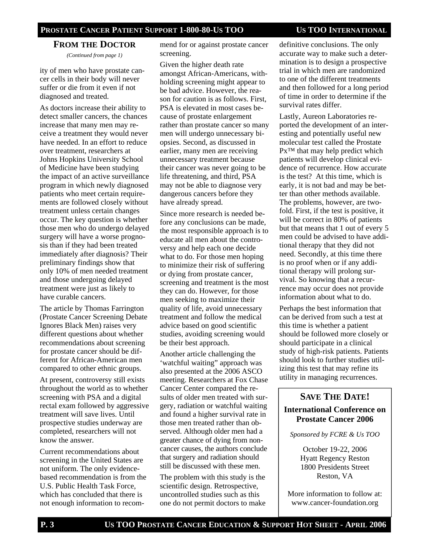#### **PROSTATE CANCER PATIENT SUPPORT 1-800-80-US TOO US TOO INTERNATIONAL**

# **FROM THE DOCTOR**

*(Continued from page 1)* 

ity of men who have prostate cancer cells in their body will never suffer or die from it even if not diagnosed and treated.

As doctors increase their ability to detect smaller cancers, the chances increase that many men may receive a treatment they would never have needed. In an effort to reduce over treatment, researchers at Johns Hopkins University School of Medicine have been studying the impact of an active surveillance program in which newly diagnosed patients who meet certain requirements are followed closely without treatment unless certain changes occur. The key question is whether those men who do undergo delayed surgery will have a worse prognosis than if they had been treated immediately after diagnosis? Their preliminary findings show that only 10% of men needed treatment and those undergoing delayed treatment were just as likely to have curable cancers.

The article by Thomas Farrington (Prostate Cancer Screening Debate Ignores Black Men) raises very different questions about whether recommendations about screening for prostate cancer should be different for African-American men compared to other ethnic groups.

At present, controversy still exists throughout the world as to whether screening with PSA and a digital rectal exam followed by aggressive treatment will save lives. Until prospective studies underway are completed, researchers will not know the answer.

Current recommendations about screening in the United States are not uniform. The only evidencebased recommendation is from the U.S. Public Health Task Force, which has concluded that there is not enough information to recommend for or against prostate cancer screening.

Given the higher death rate amongst African-Americans, withholding screening might appear to be bad advice. However, the reason for caution is as follows. First, PSA is elevated in most cases because of prostate enlargement rather than prostate cancer so many men will undergo unnecessary biopsies. Second, as discussed in earlier, many men are receiving unnecessary treatment because their cancer was never going to be life threatening, and third, PSA may not be able to diagnose very dangerous cancers before they have already spread.

Since more research is needed before any conclusions can be made, the most responsible approach is to educate all men about the controversy and help each one decide what to do. For those men hoping to minimize their risk of suffering or dying from prostate cancer, screening and treatment is the most they can do. However, for those men seeking to maximize their quality of life, avoid unnecessary treatment and follow the medical advice based on good scientific studies, avoiding screening would be their best approach.

Another article challenging the 'watchful waiting" approach was also presented at the 2006 ASCO meeting. Researchers at Fox Chase Cancer Center compared the results of older men treated with surgery, radiation or watchful waiting and found a higher survival rate in those men treated rather than observed. Although older men had a greater chance of dying from noncancer causes, the authors conclude that surgery and radiation should still be discussed with these men.

The problem with this study is the scientific design. Retrospective, uncontrolled studies such as this one do not permit doctors to make

definitive conclusions. The only accurate way to make such a determination is to design a prospective trial in which men are randomized to one of the different treatments and then followed for a long period of time in order to determine if the survival rates differ.

Lastly, Aureon Laboratories reported the development of an interesting and potentially useful new molecular test called the Prostate Px<sup>™</sup> that may help predict which patients will develop clinical evidence of recurrence. How accurate is the test? At this time, which is early, it is not bad and may be better than other methods available. The problems, however, are twofold. First, if the test is positive, it will be correct in 80% of patients but that means that 1 out of every 5 men could be advised to have additional therapy that they did not need. Secondly, at this time there is no proof when or if any additional therapy will prolong survival. So knowing that a recurrence may occur does not provide information about what to do.

Perhaps the best information that can be derived from such a test at this time is whether a patient should be followed more closely or should participate in a clinical study of high-risk patients. Patients should look to further studies utilizing this test that may refine its utility in managing recurrences.

# **SAVE THE DATE!**

#### **International Conference on Prostate Cancer 2006**

*Sponsored by FCRE & Us TOO* 

October 19-22, 2006 Hyatt Regency Reston 1800 Presidents Street Reston, VA

More information to follow at: www.cancer-foundation.org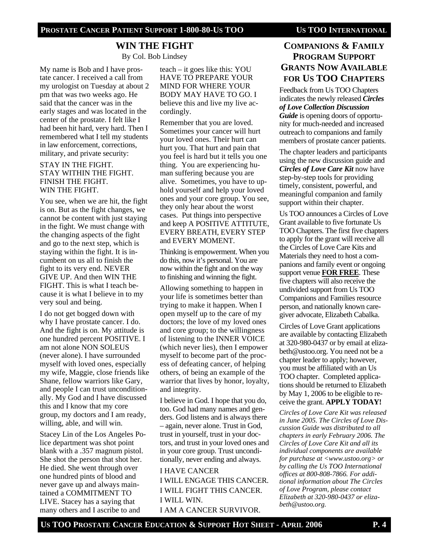# **WIN THE FIGHT**

By Col. Bob Lindsey

My name is Bob and I have prostate cancer. I received a call from my urologist on Tuesday at about 2 pm that was two weeks ago. He said that the cancer was in the early stages and was located in the center of the prostate. I felt like I had been hit hard, very hard. Then I remembered what I tell my students in law enforcement, corrections, military, and private security:

#### STAY IN THE FIGHT. STAY WITHIN THE FIGHT. FINISH THE FIGHT. WIN THE FIGHT.

You see, when we are hit, the fight is on. But as the fight changes, we cannot be content with just staying in the fight. We must change with the changing aspects of the fight and go to the next step, which is staying within the fight. It is incumbent on us all to finish the fight to its very end. NEVER GIVE UP. And then WIN THE FIGHT. This is what I teach because it is what I believe in to my very soul and being.

I do not get bogged down with why I have prostate cancer. I do. And the fight is on. My attitude is one hundred percent POSITIVE. I am not alone NON SOLEUS (never alone). I have surrounded myself with loved ones, especially my wife, Maggie, close friends like Shane, fellow warriors like Gary, and people I can trust unconditionally. My God and I have discussed this and I know that my core group, my doctors and I am ready, willing, able, and will win.

Stacey Lin of the Los Angeles Police department was shot point blank with a .357 magnum pistol. She shot the person that shot her. He died. She went through over one hundred pints of blood and never gave up and always maintained a COMMITMENT TO LIVE. Stacey has a saying that many others and I ascribe to and

teach – it goes like this: YOU HAVE TO PREPARE YOUR MIND FOR WHERE YOUR BODY MAY HAVE TO GO. I believe this and live my live accordingly.

Remember that you are loved. Sometimes your cancer will hurt your loved ones. Their hurt can hurt you. That hurt and pain that you feel is hard but it tells you one thing. You are experiencing human suffering because you are alive. Sometimes, you have to uphold yourself and help your loved ones and your core group. You see, they only hear about the worst cases. Put things into perspective and keep A POSITIVE ATTITUTE, EVERY BREATH, EVERY STEP and EVERY MOMENT.

Thinking is empowerment. When you do this, now it's personal. You are now within the fight and on the way to finishing and winning the fight.

Allowing something to happen in your life is sometimes better than trying to make it happen. When I open myself up to the care of my doctors; the love of my loved ones and core group; to the willingness of listening to the INNER VOICE (which never lies), then I empower myself to become part of the process of defeating cancer, of helping others, of being an example of the warrior that lives by honor, loyalty, and integrity.

I believe in God. I hope that you do, too. God had many names and genders. God listens and is always there – again, never alone. Trust in God, trust in yourself, trust in your doctors, and trust in your loved ones and in your core group. Trust unconditionally, never ending and always.

I HAVE CANCER I WILL ENGAGE THIS CANCER. I WILL FIGHT THIS CANCER. I WILL WIN. I AM A CANCER SURVIVOR.

# **COMPANIONS & FAMILY PROGRAM SUPPORT GRANTS NOW AVAILABLE FOR US TOO CHAPTERS**

Feedback from Us TOO Chapters indicates the newly released *Circles of Love Collection Discussion Guide* is opening doors of opportunity for much-needed and increased outreach to companions and family members of prostate cancer patients.

The chapter leaders and participants using the new discussion guide and *Circles of Love Care Kit* now have step-by-step tools for providing timely, consistent, powerful, and meaningful companion and family support within their chapter.

Us TOO announces a Circles of Love Grant available to five fortunate Us TOO Chapters. The first five chapters to apply for the grant will receive all the Circles of Love Care Kits and Materials they need to host a companions and family event or ongoing support venue **FOR FREE**. These five chapters will also receive the undivided support from Us TOO Companions and Families resource person, and nationally known caregiver advocate, Elizabeth Cabalka.

Circles of Love Grant applications are available by contacting Elizabeth at 320-980-0437 or by email at elizabeth@ustoo.org. You need not be a chapter leader to apply; however, you must be affiliated with an Us TOO chapter. Completed applications should be returned to Elizabeth by May 1, 2006 to be eligible to receive the grant. **APPLY TODAY!**

*Circles of Love Care Kit was released in June 2005. The Circles of Love Discussion Guide was distributed to all chapters in early February 2006. The Circles of Love Care Kit and all its individual components are available for purchase at <www.ustoo.org> or by calling the Us TOO International offices at 800-808-7866. For additional information about The Circles of Love Program, please contact Elizabeth at 320-980-0437 or elizabeth@ustoo.org.*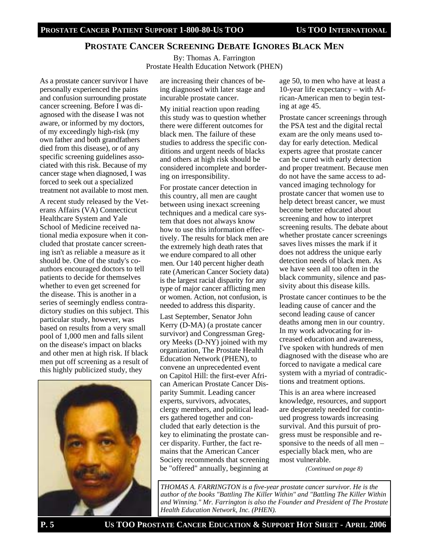#### **PROSTATE CANCER SCREENING DEBATE IGNORES BLACK MEN**

By: Thomas A. Farrington Prostate Health Education Network (PHEN)

As a prostate cancer survivor I have personally experienced the pains and confusion surrounding prostate cancer screening. Before I was diagnosed with the disease I was not aware, or informed by my doctors, of my exceedingly high-risk (my own father and both grandfathers died from this disease), or of any specific screening guidelines associated with this risk. Because of my cancer stage when diagnosed, I was forced to seek out a specialized treatment not available to most men.

A recent study released by the Veterans Affairs (VA) Connecticut Healthcare System and Yale School of Medicine received national media exposure when it concluded that prostate cancer screening isn't as reliable a measure as it should be. One of the study's coauthors encouraged doctors to tell patients to decide for themselves whether to even get screened for the disease. This is another in a series of seemingly endless contradictory studies on this subject. This particular study, however, was based on results from a very small pool of 1,000 men and falls silent on the disease's impact on blacks and other men at high risk. If black men put off screening as a result of this highly publicized study, they



are increasing their chances of being diagnosed with later stage and incurable prostate cancer.

My initial reaction upon reading this study was to question whether there were different outcomes for black men. The failure of these studies to address the specific conditions and urgent needs of blacks and others at high risk should be considered incomplete and bordering on irresponsibility.

For prostate cancer detection in this country, all men are caught between using inexact screening techniques and a medical care system that does not always know how to use this information effectively. The results for black men are the extremely high death rates that we endure compared to all other men. Our 140 percent higher death rate (American Cancer Society data) is the largest racial disparity for any type of major cancer afflicting men or women. Action, not confusion, is needed to address this disparity.

Last September, Senator John Kerry (D-MA) (a prostate cancer survivor) and Congressman Gregory Meeks (D-NY) joined with my organization, The Prostate Health Education Network (PHEN), to convene an unprecedented event on Capitol Hill: the first-ever African American Prostate Cancer Disparity Summit. Leading cancer experts, survivors, advocates, clergy members, and political leaders gathered together and concluded that early detection is the key to eliminating the prostate cancer disparity. Further, the fact remains that the American Cancer Society recommends that screening be "offered" annually, beginning at

age 50, to men who have at least a 10-year life expectancy – with African-American men to begin testing at age 45.

Prostate cancer screenings through the PSA test and the digital rectal exam are the only means used today for early detection. Medical experts agree that prostate cancer can be cured with early detection and proper treatment. Because men do not have the same access to advanced imaging technology for prostate cancer that women use to help detect breast cancer, we must become better educated about screening and how to interpret screening results. The debate about whether prostate cancer screenings saves lives misses the mark if it does not address the unique early detection needs of black men. As we have seen all too often in the black community, silence and passivity about this disease kills.

Prostate cancer continues to be the leading cause of cancer and the second leading cause of cancer deaths among men in our country. In my work advocating for increased education and awareness, I've spoken with hundreds of men diagnosed with the disease who are forced to navigate a medical care system with a myriad of contradictions and treatment options.

This is an area where increased knowledge, resources, and support are desperately needed for continued progress towards increasing survival. And this pursuit of progress must be responsible and responsive to the needs of all men – especially black men, who are most vulnerable.

*(Continued on page 8)* 

*THOMAS A. FARRINGTON is a five-year prostate cancer survivor. He is the author of the books "Battling The Killer Within" and "Battling The Killer Within and Winning." Mr. Farrington is also the Founder and President of The Prostate Health Education Network, Inc. (PHEN).*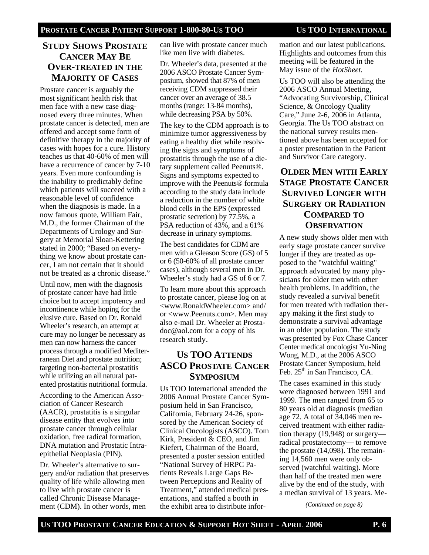### **STUDY SHOWS PROSTATE CANCER MAY BE OVER-TREATED IN THE MAJORITY OF CASES**

Prostate cancer is arguably the most significant health risk that men face with a new case diagnosed every three minutes. When prostate cancer is detected, men are offered and accept some form of definitive therapy in the majority of cases with hopes for a cure. History teaches us that 40-60% of men will have a recurrence of cancer by 7-10 years. Even more confounding is the inability to predictably define which patients will succeed with a reasonable level of confidence when the diagnosis is made. In a now famous quote, William Fair, M.D., the former Chairman of the Departments of Urology and Surgery at Memorial Sloan-Kettering stated in 2000; "Based on everything we know about prostate cancer, I am not certain that it should not be treated as a chronic disease."

Until now, men with the diagnosis of prostate cancer have had little choice but to accept impotency and incontinence while hoping for the elusive cure. Based on Dr. Ronald Wheeler's research, an attempt at cure may no longer be necessary as men can now harness the cancer process through a modified Mediterranean Diet and prostate nutrition; targeting non-bacterial prostatitis while utilizing an all natural patented prostatitis nutritional formula.

According to the American Association of Cancer Research (AACR), prostatitis is a singular disease entity that evolves into prostate cancer through cellular oxidation, free radical formation, DNA mutation and Prostatic Intraepithelial Neoplasia (PIN).

Dr. Wheeler's alternative to surgery and/or radiation that preserves quality of life while allowing men to live with prostate cancer is called Chronic Disease Management (CDM). In other words, men

can live with prostate cancer much like men live with diabetes.

Dr. Wheeler's data, presented at the 2006 ASCO Prostate Cancer Symposium, showed that 87% of men receiving CDM suppressed their cancer over an average of 38.5 months (range: 13-84 months), while decreasing PSA by 50%.

The key to the CDM approach is to minimize tumor aggressiveness by eating a healthy diet while resolving the signs and symptoms of prostatitis through the use of a dietary supplement called Peenuts®. Signs and symptoms expected to improve with the Peenuts® formula according to the study data include a reduction in the number of white blood cells in the EPS (expressed prostatic secretion) by 77.5%, a PSA reduction of 43%, and a 61% decrease in urinary symptoms.

The best candidates for CDM are men with a Gleason Score (GS) of 5 or 6 (50-60% of all prostate cancer cases), although several men in Dr. Wheeler's study had a GS of 6 or 7.

To learn more about this approach to prostate cancer, please log on at <www.RonaldWheeler.com> and/ or <www.Peenuts.com>. Men may also e-mail Dr. Wheeler at Prostadoc@aol.com for a copy of his research study.

# **US TOO ATTENDS ASCO PROSTATE CANCER SYMPOSIUM**

Us TOO International attended the 2006 Annual Prostate Cancer Symposium held in San Francisco, California, February 24-26, sponsored by the American Society of Clinical Oncologists (ASCO). Tom Kirk, President & CEO, and Jim Kiefert, Chairman of the Board, presented a poster session entitled "National Survey of HRPC Patients Reveals Large Gaps Between Perceptions and Reality of Treatment," attended medical presentations, and staffed a booth in the exhibit area to distribute infor-

mation and our latest publications. Highlights and outcomes from this meeting will be featured in the May issue of the *HotSheet*.

Us TOO will also be attending the 2006 ASCO Annual Meeting, "Advocating Survivorship, Clinical Science, & Oncology Quality Care," June 2-6, 2006 in Atlanta, Georgia. The Us TOO abstract on the national survey results mentioned above has been accepted for a poster presentation in the Patient and Survivor Care category.

# **OLDER MEN WITH EARLY STAGE PROSTATE CANCER SURVIVED LONGER WITH SURGERY OR RADIATION COMPARED TO OBSERVATION**

A new study shows older men with early stage prostate cancer survive longer if they are treated as opposed to the "watchful waiting" approach advocated by many physicians for older men with other health problems. In addition, the study revealed a survival benefit for men treated with radiation therapy making it the first study to demonstrate a survival advantage in an older population. The study was presented by Fox Chase Cancer Center medical oncologist Yu-Ning Wong, M.D., at the 2006 ASCO Prostate Cancer Symposium, held Feb.  $25<sup>th</sup>$  in San Francisco, CA.

The cases examined in this study were diagnosed between 1991 and 1999. The men ranged from 65 to 80 years old at diagnosis (median age 72. A total of 34,046 men received treatment with either radiation therapy (19,948) or surgery radical prostatectomy— to remove the prostate (14,098). The remaining 14,560 men were only observed (watchful waiting). More than half of the treated men were alive by the end of the study, with a median survival of 13 years. Me-

*(Continued on page 8)*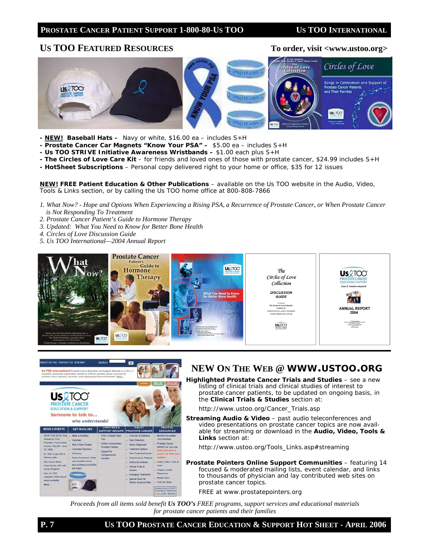#### PROSTATE CANCER PATIENT SUPPORT 1-800-80-US TOO US TOO INTERNATIONAL

#### US TOO FEATURED RESOURCES To order, visit <www.ustoo.org>



- *NEW!* **Baseball Hats** Navy or white, \$16.00 ea includes S+H
- **Prostate Cancer Car Magnets "Know Your PSA"** \$5.00 ea includes S+H
- **Us TOO** *STRIVE* **Initiative Awareness Wristbands** \$1.00 each plus S+H
- *The Circles of Love Care Kit* for friends and loved ones of those with prostate cancer, \$24.99 includes S+H
- *HotSheet* **Subscriptions**  Personal copy delivered right to your home or office, \$35 for 12 issues

*NEW!* **FREE Patient Education & Other Publications** – available on the Us TOO website in the *Audio, Video, Tools & Links* section, or by calling the Us TOO home office at 800-808-7866

- *1. What Now? Hope and Options When Experiencing a Rising PSA, a Recurrence of Prostate Cancer, or When Prostate Cancer is Not Responding To Treatment*
- *2. Prostate Cancer Patient's Guide to Hormone Therapy*
- *3. Updated: What You Need to Know for Better Bone Health*
- *4. Circles of Love Discussion Guide*
- *5. Us TOO International—2004 Annual Report*





### **NEW ON THE WEB @ WWW.USTOO.ORG**

**Highlighted Prostate Cancer Trials and Studies** – see a new listing of clinical trials and clinical studies of interest to prostate cancer patients, to be updated on ongoing basis, in the *Clinical Trials & Studies* section at:

*http://www.ustoo.org/Cancer\_Trials.asp*

**Streaming Audio & Video** – past audio teleconferences and video presentations on prostate cancer topics are now available for streaming or download in the *Audio, Video, Tools & Links* section at:

*http://www.ustoo.org/Tools\_Links.asp#streaming* 

*Prostate Pointers* **Online Support Communities** – featuring 14 focused & moderated mailing lists, event calendar, and links to thousands of physician and lay contributed web sites on prostate cancer topics.

*FREE at www.prostatepointers.org*

*Proceeds from all items sold benefit Us TOO's FREE programs, support services and educational materials for prostate cancer patients and their families*